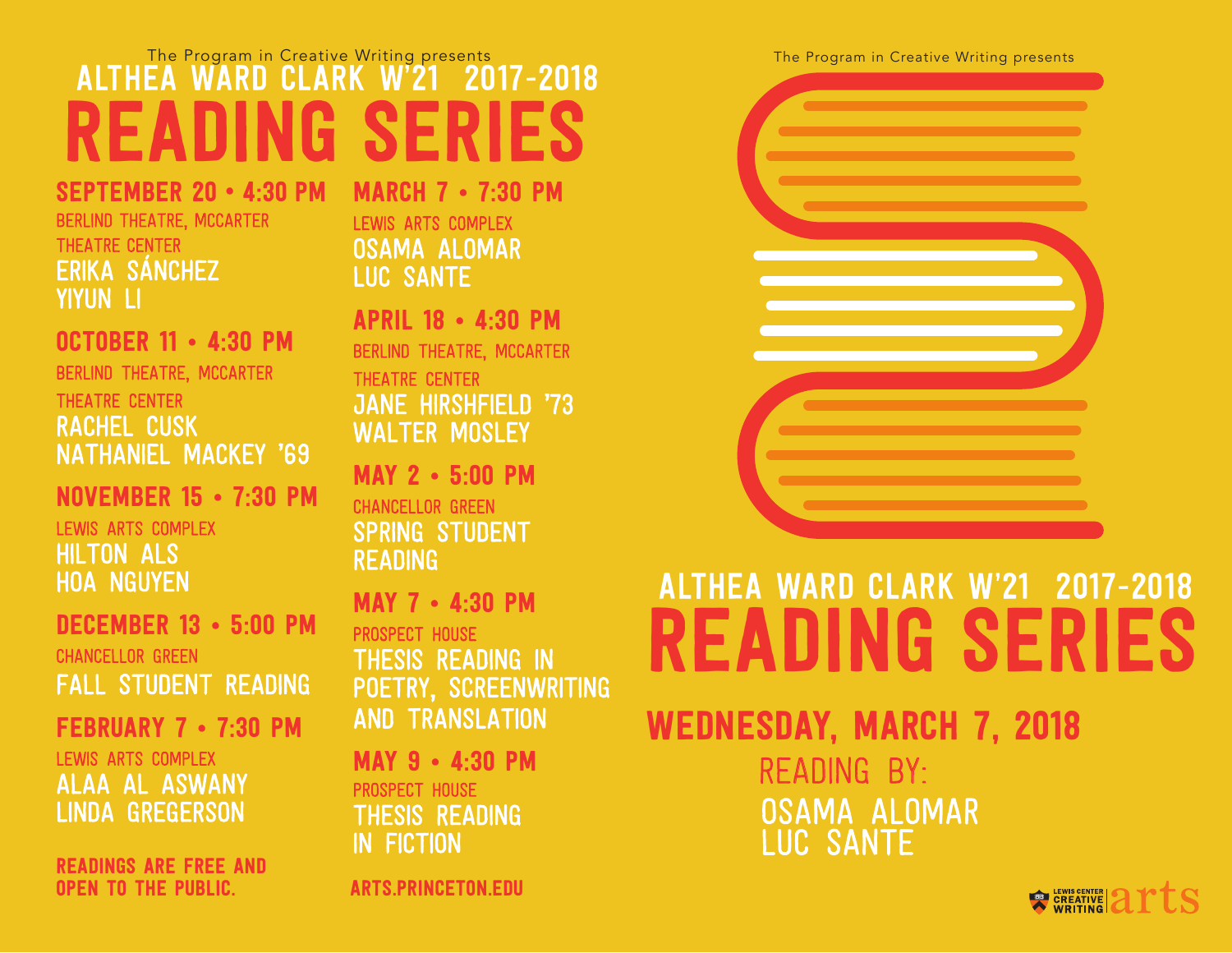## The Program in Creative Writing presents The Program in Creative Writing presents<br> **EA WARD CLARK W'21 2017-2018 ALTHEA WARD CLARK W'21** READING SERIES

September 20 • 4:30 pm Berlind Theatre, McCarter Theatre Center Erika sánchez Yiyun Li

October 11 • 4:30 pm Berlind Theatre, McCarter Theatre Center Rachel Cusk Nathaniel Mackey '69

November 15 • 7:30 pm Lewis Arts Complex Hilton Als Hoa Nguyen

December 13 • 5:00 pm chancellor Green Fall Student Reading

February 7 • 7:30 pm Lewis Arts Complex Alaa Al Aswany Linda Gregerson

Readings are free and open to the public. arts.princeton.edu

March 7 • 7:30 pm Lewis Arts Complex Osama Alomar Luc Sante

April 18 • 4:30 pm Berlind Theatre, McCarter Theatre Center Jane Hirshfield '73 WALTER MOSLEY

May 2 • 5:00 pm chancellor Green SPRING STUDENT **READING** 

May 7 • 4:30 pm prospect house Thesis Reading in POETRY, SCREENWRITING and Translation

May 9 • 4:30 pm prospect house Thesis Reading in Fiction



# Althea Ward Clark W'21 2017-2018 READING SERIE

wednesday, March 7, 2018

reading by: osama Alomar Luc Sante